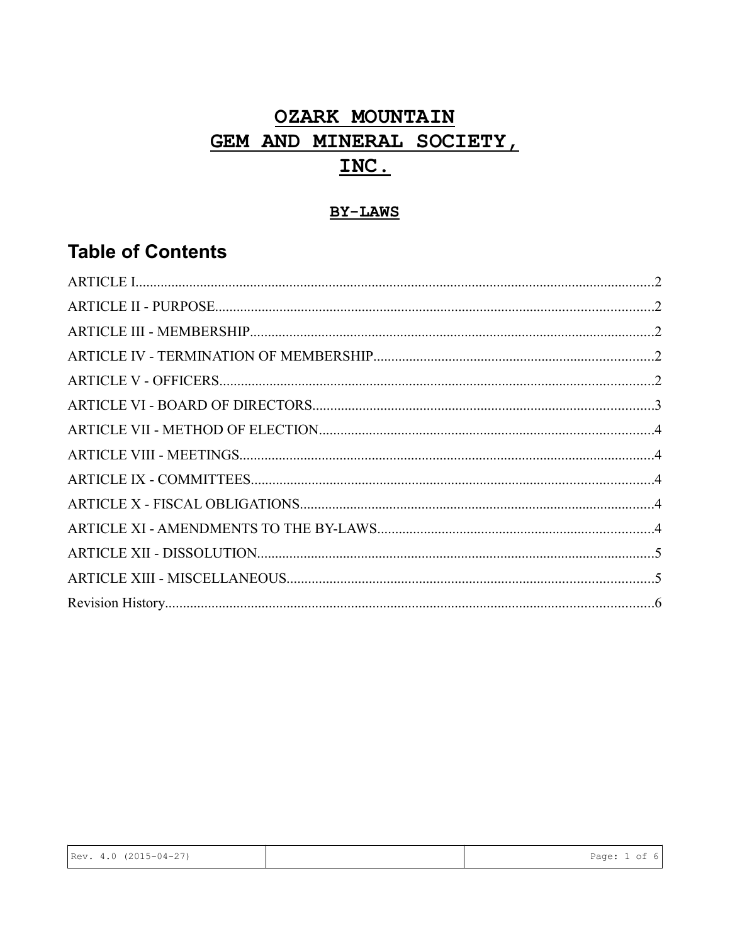# **OZARK MOUNTAIN** GEM AND MINERAL SOCIETY, INC.

# **BY-LAWS**

# **Table of Contents**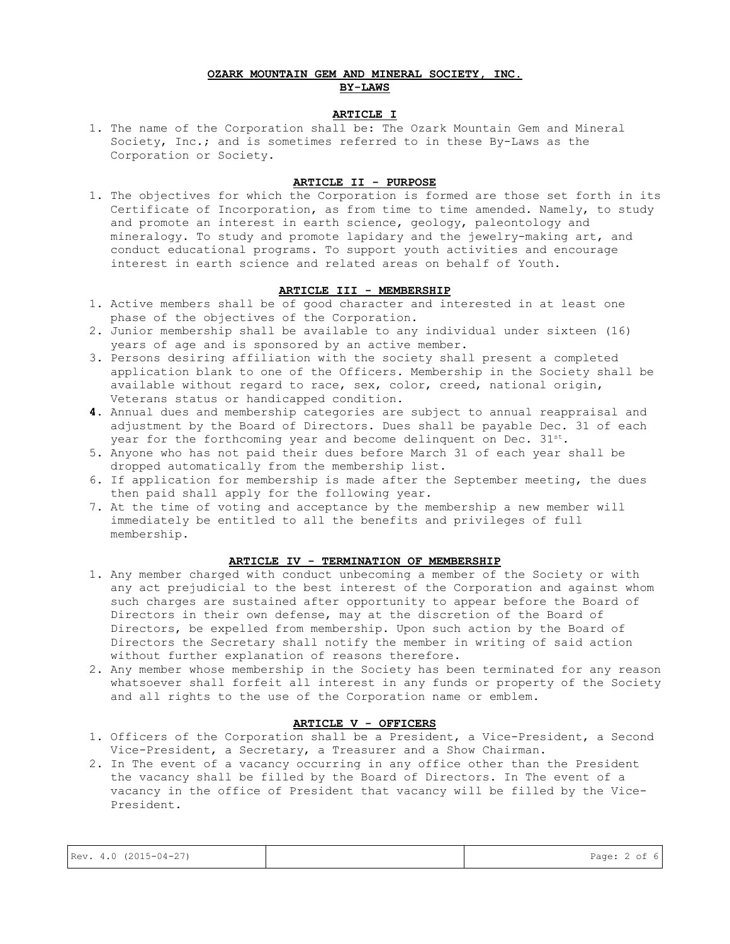## **OZARK MOUNTAIN GEM AND MINERAL SOCIETY, INC. BY-LAWS**

#### **ARTICLE I**

1. The name of the Corporation shall be: The Ozark Mountain Gem and Mineral Society, Inc.; and is sometimes referred to in these By-Laws as the Corporation or Society.

#### **ARTICLE II - PURPOSE**

1. The objectives for which the Corporation is formed are those set forth in its Certificate of Incorporation, as from time to time amended. Namely, to study and promote an interest in earth science, geology, paleontology and mineralogy. To study and promote lapidary and the jewelry-making art, and conduct educational programs. To support youth activities and encourage interest in earth science and related areas on behalf of Youth.

#### **ARTICLE III - MEMBERSHIP**

- 1. Active members shall be of good character and interested in at least one phase of the objectives of the Corporation.
- 2. Junior membership shall be available to any individual under sixteen (16) years of age and is sponsored by an active member.
- 3. Persons desiring affiliation with the society shall present a completed application blank to one of the Officers. Membership in the Society shall be available without regard to race, sex, color, creed, national origin, Veterans status or handicapped condition.
- **4.** Annual dues and membership categories are subject to annual reappraisal and adjustment by the Board of Directors. Dues shall be payable Dec. 31 of each year for the forthcoming year and become delinquent on Dec.  $31^{st}$ .
- 5. Anyone who has not paid their dues before March 31 of each year shall be dropped automatically from the membership list.
- 6. If application for membership is made after the September meeting, the dues then paid shall apply for the following year.
- 7. At the time of voting and acceptance by the membership a new member will immediately be entitled to all the benefits and privileges of full membership.

#### **ARTICLE IV - TERMINATION OF MEMBERSHIP**

- 1. Any member charged with conduct unbecoming a member of the Society or with any act prejudicial to the best interest of the Corporation and against whom such charges are sustained after opportunity to appear before the Board of Directors in their own defense, may at the discretion of the Board of Directors, be expelled from membership. Upon such action by the Board of Directors the Secretary shall notify the member in writing of said action without further explanation of reasons therefore.
- 2. Any member whose membership in the Society has been terminated for any reason whatsoever shall forfeit all interest in any funds or property of the Society and all rights to the use of the Corporation name or emblem.

## **ARTICLE V - OFFICERS**

- 1. Officers of the Corporation shall be a President, a Vice-President, a Second Vice-President, a Secretary, a Treasurer and a Show Chairman.
- 2. In The event of a vacancy occurring in any office other than the President the vacancy shall be filled by the Board of Directors. In The event of a vacancy in the office of President that vacancy will be filled by the Vice-President.

|                       | Page: 2 of 6 |
|-----------------------|--------------|
| Rev. 4.0 (2015-04-27) |              |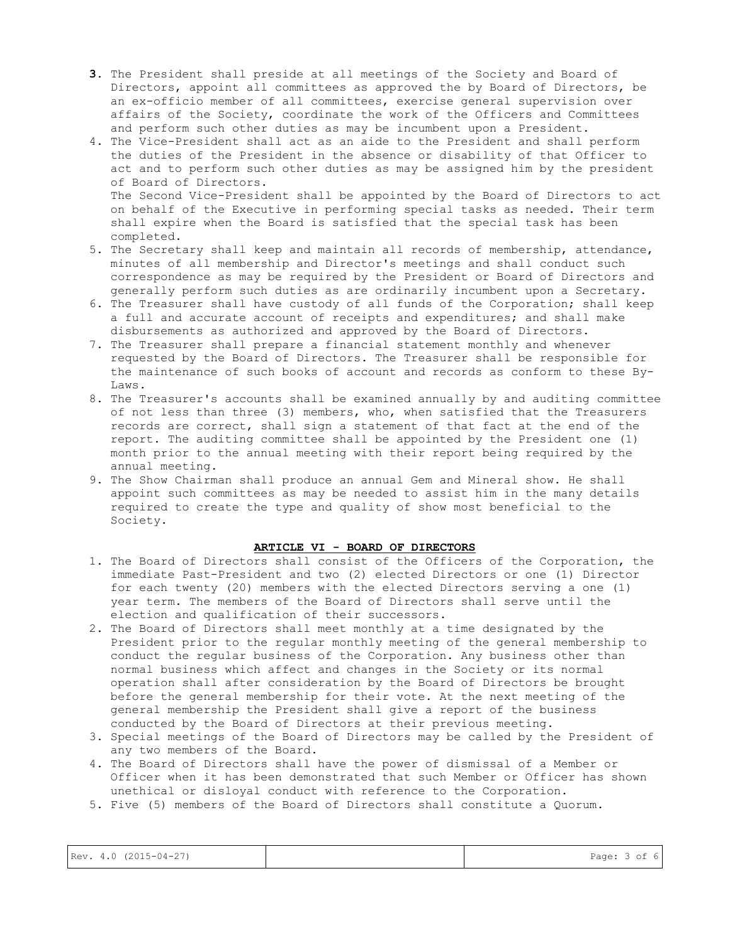- **3.** The President shall preside at all meetings of the Society and Board of Directors, appoint all committees as approved the by Board of Directors, be an ex-officio member of all committees, exercise general supervision over affairs of the Society, coordinate the work of the Officers and Committees and perform such other duties as may be incumbent upon a President.
- 4. The Vice-President shall act as an aide to the President and shall perform the duties of the President in the absence or disability of that Officer to act and to perform such other duties as may be assigned him by the president of Board of Directors. The Second Vice-President shall be appointed by the Board of Directors to act on behalf of the Executive in performing special tasks as needed. Their term shall expire when the Board is satisfied that the special task has been
- completed. 5. The Secretary shall keep and maintain all records of membership, attendance, minutes of all membership and Director's meetings and shall conduct such correspondence as may be required by the President or Board of Directors and generally perform such duties as are ordinarily incumbent upon a Secretary.
- 6. The Treasurer shall have custody of all funds of the Corporation; shall keep a full and accurate account of receipts and expenditures; and shall make disbursements as authorized and approved by the Board of Directors.
- 7. The Treasurer shall prepare a financial statement monthly and whenever requested by the Board of Directors. The Treasurer shall be responsible for the maintenance of such books of account and records as conform to these By-Laws.
- 8. The Treasurer's accounts shall be examined annually by and auditing committee of not less than three (3) members, who, when satisfied that the Treasurers records are correct, shall sign a statement of that fact at the end of the report. The auditing committee shall be appointed by the President one (1) month prior to the annual meeting with their report being required by the annual meeting.
- 9. The Show Chairman shall produce an annual Gem and Mineral show. He shall appoint such committees as may be needed to assist him in the many details required to create the type and quality of show most beneficial to the Society.

#### **ARTICLE VI - BOARD OF DIRECTORS**

- 1. The Board of Directors shall consist of the Officers of the Corporation, the immediate Past-President and two (2) elected Directors or one (1) Director for each twenty (20) members with the elected Directors serving a one (1) year term. The members of the Board of Directors shall serve until the election and qualification of their successors.
- 2. The Board of Directors shall meet monthly at a time designated by the President prior to the regular monthly meeting of the general membership to conduct the regular business of the Corporation. Any business other than normal business which affect and changes in the Society or its normal operation shall after consideration by the Board of Directors be brought before the general membership for their vote. At the next meeting of the general membership the President shall give a report of the business conducted by the Board of Directors at their previous meeting.
- 3. Special meetings of the Board of Directors may be called by the President of any two members of the Board.
- 4. The Board of Directors shall have the power of dismissal of a Member or Officer when it has been demonstrated that such Member or Officer has shown unethical or disloyal conduct with reference to the Corporation.
- 5. Five (5) members of the Board of Directors shall constitute a Quorum.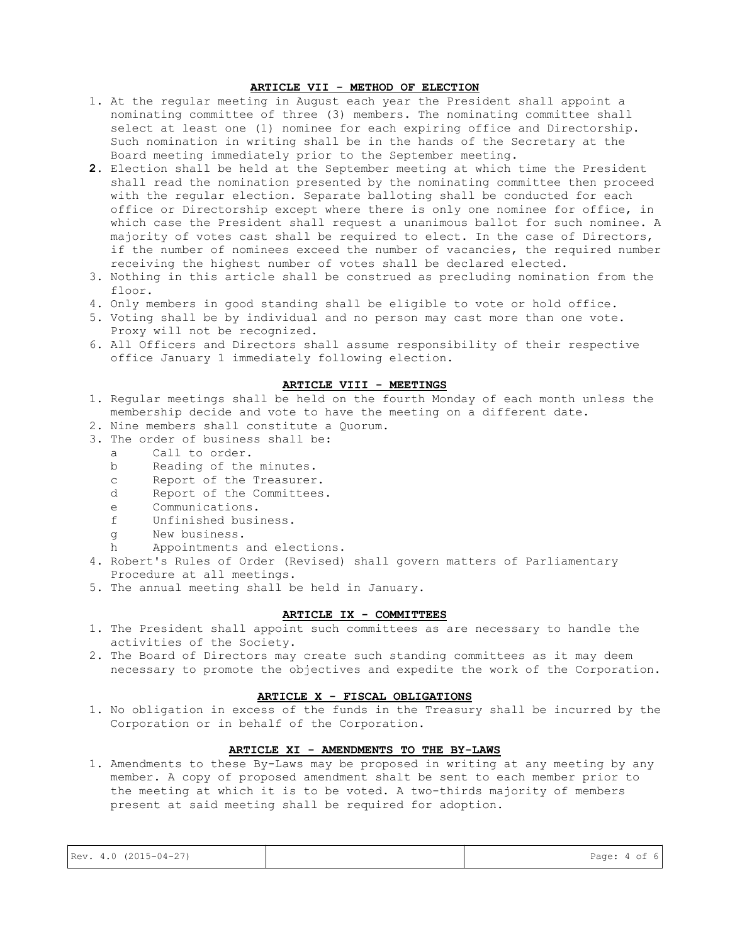#### **ARTICLE VII - METHOD OF ELECTION**

- 1. At the regular meeting in August each year the President shall appoint a nominating committee of three (3) members. The nominating committee shall select at least one (1) nominee for each expiring office and Directorship. Such nomination in writing shall be in the hands of the Secretary at the Board meeting immediately prior to the September meeting.
- **2.** Election shall be held at the September meeting at which time the President shall read the nomination presented by the nominating committee then proceed with the regular election. Separate balloting shall be conducted for each office or Directorship except where there is only one nominee for office, in which case the President shall request a unanimous ballot for such nominee. A majority of votes cast shall be required to elect. In the case of Directors, if the number of nominees exceed the number of vacancies, the required number receiving the highest number of votes shall be declared elected.
- 3. Nothing in this article shall be construed as precluding nomination from the floor.
- 4. Only members in good standing shall be eligible to vote or hold office.
- 5. Voting shall be by individual and no person may cast more than one vote. Proxy will not be recognized.
- 6. All Officers and Directors shall assume responsibility of their respective office January 1 immediately following election.

#### **ARTICLE VIII - MEETINGS**

- 1. Regular meetings shall be held on the fourth Monday of each month unless the membership decide and vote to have the meeting on a different date.
- 2. Nine members shall constitute a Quorum.
- 3. The order of business shall be:
	- a Call to order.
	- b Reading of the minutes.
	- c Report of the Treasurer.
	- d Report of the Committees.
	- e Communications.
	- f Unfinished business.
	- g New business.
	- h Appointments and elections.
- 4. Robert's Rules of Order (Revised) shall govern matters of Parliamentary Procedure at all meetings.
- 5. The annual meeting shall be held in January.

#### **ARTICLE IX - COMMITTEES**

- 1. The President shall appoint such committees as are necessary to handle the activities of the Society.
- 2. The Board of Directors may create such standing committees as it may deem necessary to promote the objectives and expedite the work of the Corporation.

#### **ARTICLE X - FISCAL OBLIGATIONS**

1. No obligation in excess of the funds in the Treasury shall be incurred by the Corporation or in behalf of the Corporation.

# **ARTICLE XI - AMENDMENTS TO THE BY-LAWS**

1. Amendments to these By-Laws may be proposed in writing at any meeting by any member. A copy of proposed amendment shalt be sent to each member prior to the meeting at which it is to be voted. A two-thirds majority of members present at said meeting shall be required for adoption.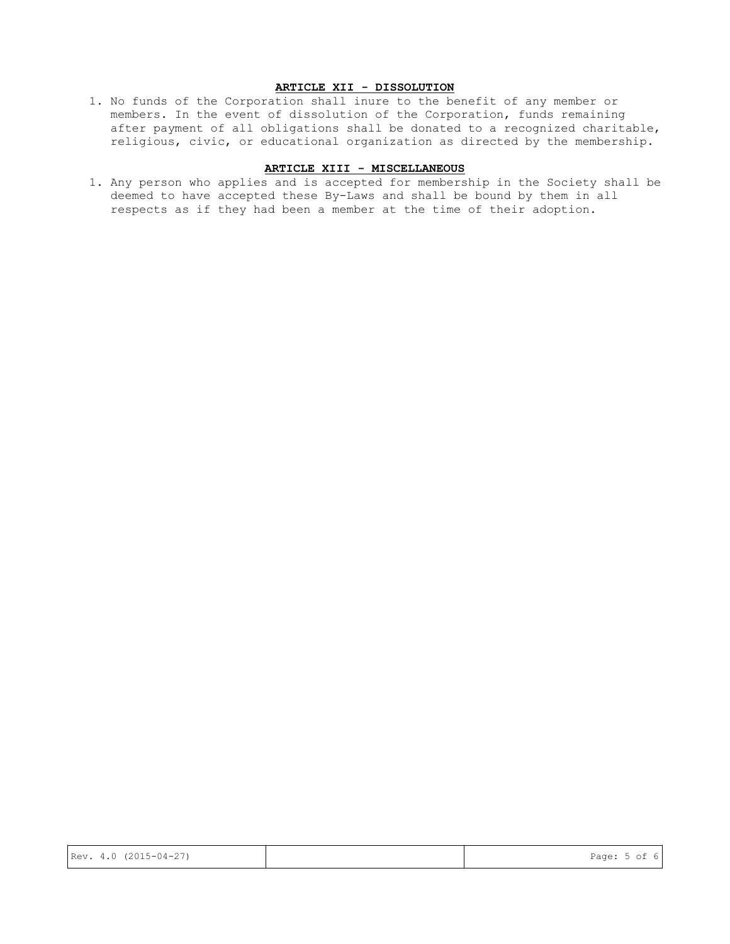### **ARTICLE XII - DISSOLUTION**

1. No funds of the Corporation shall inure to the benefit of any member or members. In the event of dissolution of the Corporation, funds remaining after payment of all obligations shall be donated to a recognized charitable, religious, civic, or educational organization as directed by the membership.

#### **ARTICLE XIII - MISCELLANEOUS**

1. Any person who applies and is accepted for membership in the Society shall be deemed to have accepted these By-Laws and shall be bound by them in all respects as if they had been a member at the time of their adoption.